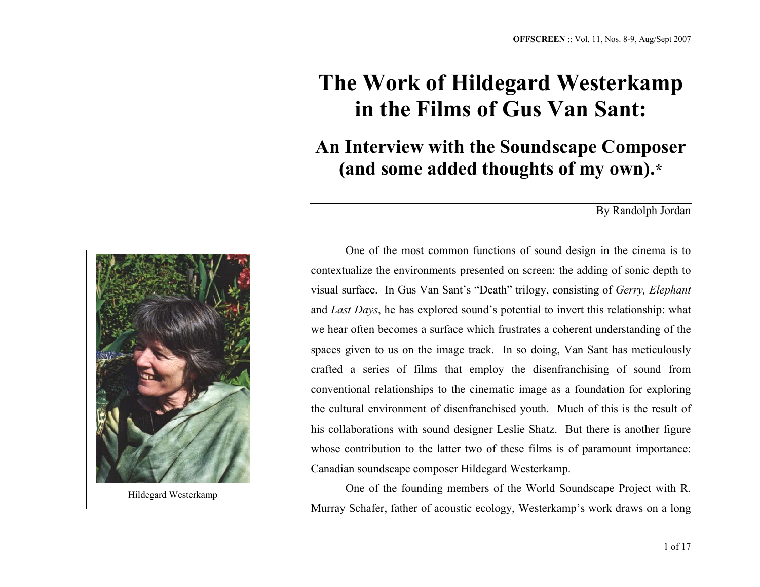## **The Work of Hildegard Westerkamp in the Films of Gus Van Sant:**

**An Interview with the Soundscape Composer (and some added thoughts of my own).\***

By Randolph Jordan



Hildegard Westerkamp

One of the most common functions of sound design in the cinema is to contextualize the environments presented on screen: the adding of sonic depth to visual surface. In Gus Van Sant's "Death" trilogy, consisting of *Gerry, Elephant* and *Last Days*, he has explored sound's potential to invert this relationship: what we hear often becomes a surface which frustrates a coherent understanding of the spaces given to us on the image track. In so doing, Van Sant has meticulously crafted a series of films that employ the disenfranchising of sound from conventional relationships to the cinematic image as a foundation for exploring the cultural environment of disenfranchised youth. Much of this is the result of his collaborations with sound designer Leslie Shatz. But there is another figure whose contribution to the latter two of these films is of paramount importance: Canadian soundscape composer Hildegard Westerkamp.

One of the founding members of the World Soundscape Project with R. Murray Schafer, father of acoustic ecology, Westerkamp's work draws on a long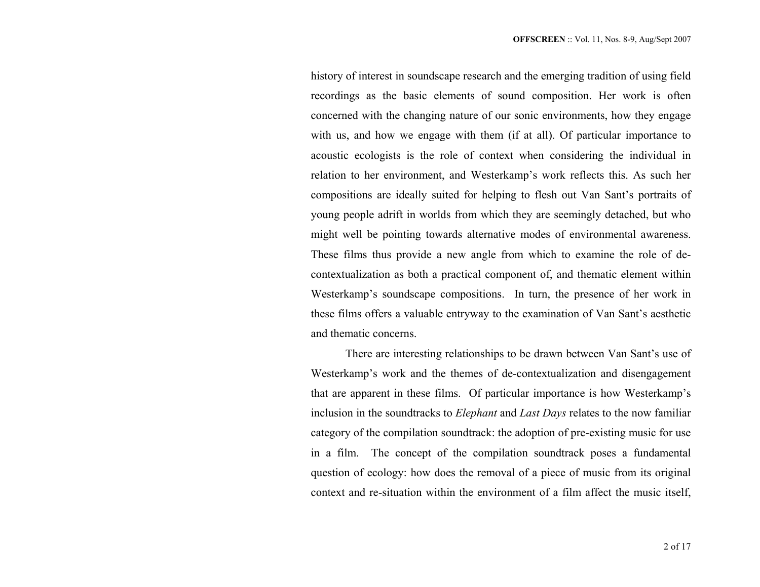history of interest in soundscape research and the emerging tradition of using field recordings as the basic elements of sound composition. Her work is often concerned with the changing nature of our sonic environments, how they engage with us, and how we engage with them (if at all). Of particular importance to acoustic ecologists is the role of context when considering the individual in relation to her environment, and Westerkamp's work reflects this. As such her compositions are ideally suited for helping to flesh out Van Sant's portraits of young people adrift in worlds from which they are seemingly detached, but who might well be pointing towards alternative modes of environmental awareness. These films thus provide a new angle from which to examine the role of decontextualization as both a practical component of, and thematic element within Westerkamp's soundscape compositions. In turn, the presence of her work in these films offers a valuable entryway to the examination of Van Sant's aesthetic and thematic concerns.

There are interesting relationships to be drawn between Van Sant's use of Westerkamp's work and the themes of de-contextualization and disengagement that are apparent in these films. Of particular importance is how Westerkamp's inclusion in the soundtracks to *Elephant* and *Last Days* relates to the now familiar category of the compilation soundtrack: the adoption of pre-existing music for use in a film. The concept of the compilation soundtrack poses a fundamental question of ecology: how does the removal of a piece of music from its original context and re-situation within the environment of a film affect the music itself,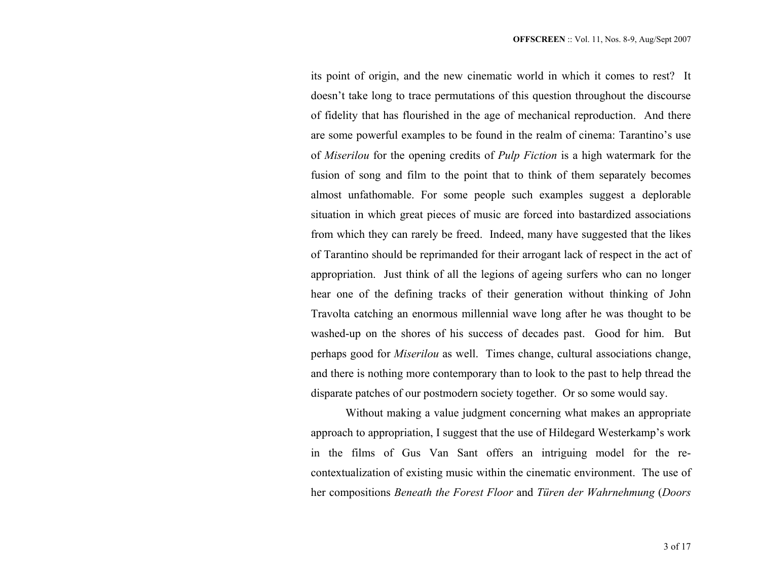its point of origin, and the new cinematic world in which it comes to rest? It doesn't take long to trace permutations of this question throughout the discourse of fidelity that has flourished in the age of mechanical reproduction. And there are some powerful examples to be found in the realm of cinema: Tarantino's use of *Miserilou* for the opening credits of *Pulp Fiction* is a high watermark for the fusion of song and film to the point that to think of them separately becomes almost unfathomable. For some people such examples suggest a deplorable situation in which great pieces of music are forced into bastardized associations from which they can rarely be freed. Indeed, many have suggested that the likes of Tarantino should be reprimanded for their arrogant lack of respect in the act of appropriation. Just think of all the legions of ageing surfers who can no longer hear one of the defining tracks of their generation without thinking of John Travolta catching an enormous millennial wave long after he was thought to be washed-up on the shores of his success of decades past. Good for him. But perhaps good for *Miserilou* as well. Times change, cultural associations change, and there is nothing more contemporary than to look to the past to help thread the disparate patches of our postmodern society together. Or so some would say.

Without making a value judgment concerning what makes an appropriate approach to appropriation, I suggest that the use of Hildegard Westerkamp's work in the films of Gus Van Sant offers an intriguing model for the recontextualization of existing music within the cinematic environment. The use of her compositions *Beneath the Forest Floor* and *Türen der Wahrnehmung* (*Doors*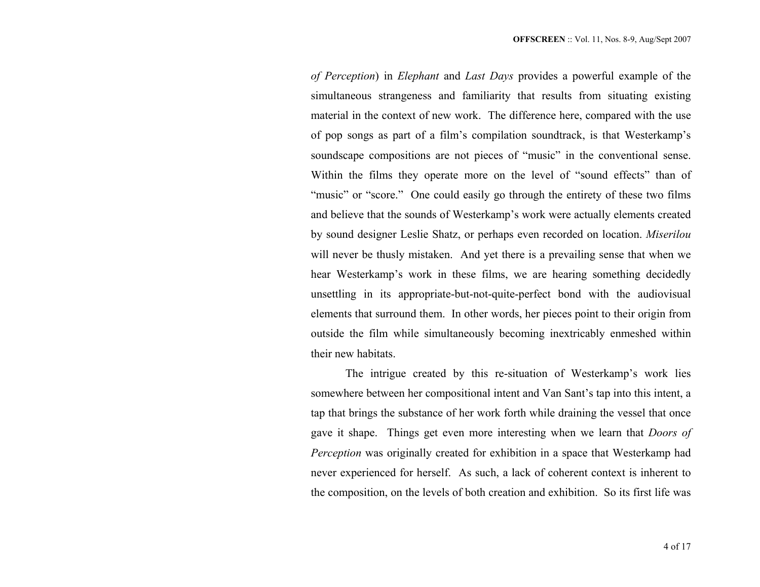*of Perception*) in *Elephant* and *Last Days* provides a powerful example of the simultaneous strangeness and familiarity that results from situating existing material in the context of new work. The difference here, compared with the use of pop songs as part of a film's compilation soundtrack, is that Westerkamp's soundscape compositions are not pieces of "music" in the conventional sense. Within the films they operate more on the level of "sound effects" than of "music" or "score." One could easily go through the entirety of these two films and believe that the sounds of Westerkamp's work were actually elements created by sound designer Leslie Shatz, or perhaps even recorded on location. *Miserilou* will never be thusly mistaken. And yet there is a prevailing sense that when we hear Westerkamp's work in these films, we are hearing something decidedly unsettling in its appropriate-but-not-quite-perfect bond with the audiovisual elements that surround them. In other words, her pieces point to their origin from outside the film while simultaneously becoming inextricably enmeshed within their new habitats.

The intrigue created by this re-situation of Westerkamp's work lies somewhere between her compositional intent and Van Sant's tap into this intent, a tap that brings the substance of her work forth while draining the vessel that once gave it shape. Things get even more interesting when we learn that *Doors of Perception* was originally created for exhibition in a space that Westerkamp had never experienced for herself. As such, a lack of coherent context is inherent to the composition, on the levels of both creation and exhibition. So its first life was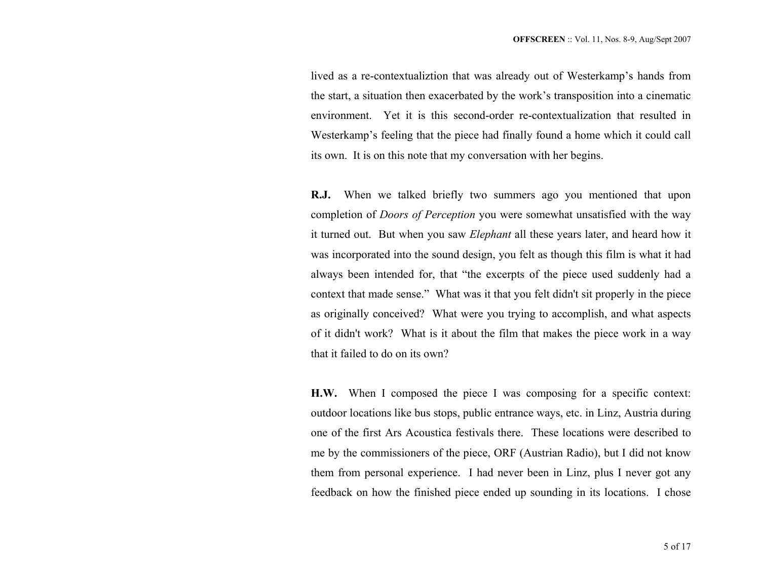lived as a re-contextualiztion that was already out of Westerkamp's hands from the start, a situation then exacerbated by the work's transposition into a cinematic environment. Yet it is this second-order re-contextualization that resulted in Westerkamp's feeling that the piece had finally found a home which it could call its own. It is on this note that my conversation with her begins.

**R.J.** When we talked briefly two summers ago you mentioned that upon completion of *Doors of Perception* you were somewhat unsatisfied with the way it turned out. But when you saw *Elephant* all these years later, and heard how it was incorporated into the sound design, you felt as though this film is what it had always been intended for, that "the excerpts of the piece used suddenly had a context that made sense." What was it that you felt didn't sit properly in the piece as originally conceived? What were you trying to accomplish, and what aspects of it didn't work? What is it about the film that makes the piece work in a way that it failed to do on its own?

**H.W.** When I composed the piece I was composing for a specific context: outdoor locations like bus stops, public entrance ways, etc. in Linz, Austria during one of the first Ars Acoustica festivals there. These locations were described to me by the commissioners of the piece, ORF (Austrian Radio), but I did not know them from personal experience. I had never been in Linz, plus I never got any feedback on how the finished piece ended up sounding in its locations. I chose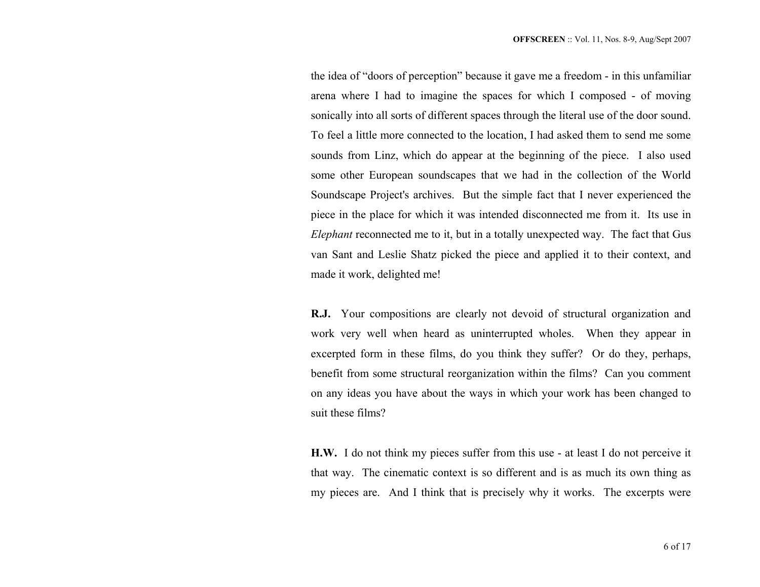the idea of "doors of perception" because it gave me a freedom - in this unfamiliar arena where I had to imagine the spaces for which I composed - of moving sonically into all sorts of different spaces through the literal use of the door sound. To feel a little more connected to the location, I had asked them to send me some sounds from Linz, which do appear at the beginning of the piece. I also used some other European soundscapes that we had in the collection of the World Soundscape Project's archives. But the simple fact that I never experienced the piece in the place for which it was intended disconnected me from it. Its use in *Elephant* reconnected me to it, but in a totally unexpected way. The fact that Gus van Sant and Leslie Shatz picked the piece and applied it to their context, and made it work, delighted me!

**R.J.** Your compositions are clearly not devoid of structural organization and work very well when heard as uninterrupted wholes. When they appear in excerpted form in these films, do you think they suffer? Or do they, perhaps, benefit from some structural reorganization within the films? Can you comment on any ideas you have about the ways in which your work has been changed to suit these films?

**H.W.** I do not think my pieces suffer from this use - at least I do not perceive it that way. The cinematic context is so different and is as much its own thing as my pieces are. And I think that is precisely why it works. The excerpts were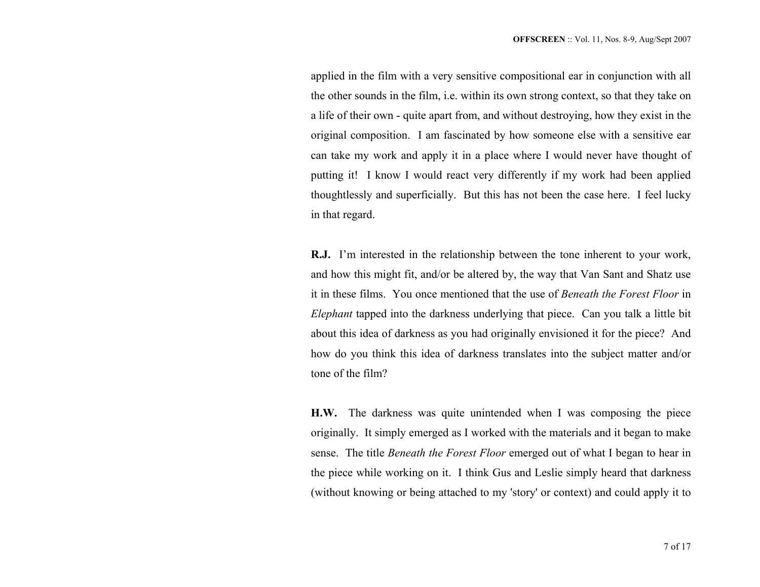applied in the film with a very sensitive compositional ear in conjunction with all the other sounds in the film, i.e. within its own strong context, so that they take on a life of their own - quite apart from, and without destroying, how they exist in the original composition. I am fascinated by how someone else with a sensitive ear can take my work and apply it in a place where I would never have thought of putting it! I know I would react very differently if my work had been applied thoughtlessly and superficially. But this has not been the case here. I feel lucky in that regard.

**R.J.** I'm interested in the relationship between the tone inherent to your work, and how this might fit, and/or be altered by, the way that Van Sant and Shatz use it in these films. You once mentioned that the use of *Beneath the Forest Floor* in *Elephant* tapped into the darkness underlying that piece. Can you talk a little bit about this idea of darkness as you had originally envisioned it for the piece? And how do you think this idea of darkness translates into the subject matter and/or tone of the film?

**H.W.** The darkness was quite unintended when I was composing the piece originally. It simply emerged as I worked with the materials and it began to make sense. The title *Beneath the Forest Floor* emerged out of what I began to hear in the piece while working on it. I think Gus and Leslie simply heard that darkness (without knowing or being attached to my 'story' or context) and could apply it to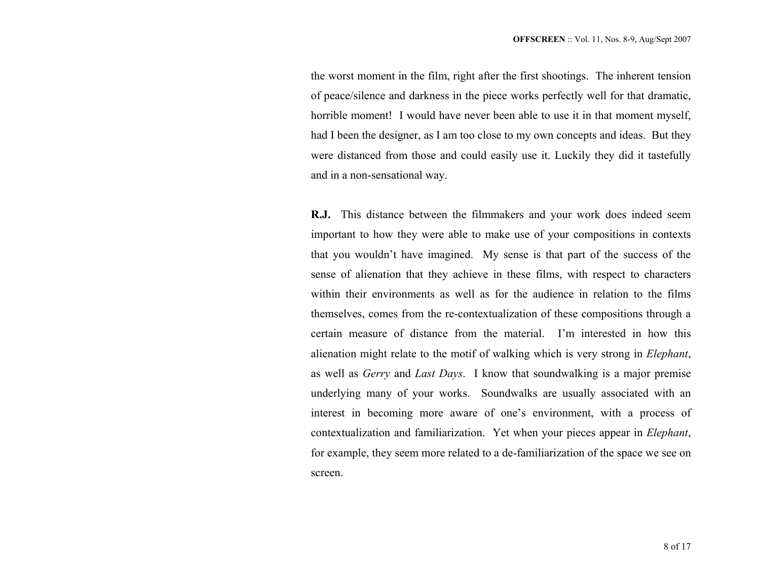the worst moment in the film, right after the first shootings. The inherent tension of peace/silence and darkness in the piece works perfectly well for that dramatic, horrible moment! I would have never been able to use it in that moment myself, had I been the designer, as I am too close to my own concepts and ideas. But they were distanced from those and could easily use it. Luckily they did it tastefully and in a non-sensational way.

**R.J.** This distance between the filmmakers and your work does indeed seem important to how they were able to make use of your compositions in contexts that you wouldn't have imagined. My sense is that part of the success of the sense of alienation that they achieve in these films, with respect to characters within their environments as well as for the audience in relation to the films themselves, comes from the re-contextualization of these compositions through a certain measure of distance from the material. I'm interested in how this alienation might relate to the motif of walking which is very strong in *Elephant*, as well as *Gerry* and *Last Days*. I know that soundwalking is a major premise underlying many of your works. Soundwalks are usually associated with an interest in becoming more aware of one's environment, with a process of contextualization and familiarization. Yet when your pieces appear in *Elephant*, for example, they seem more related to a de-familiarization of the space we see on screen.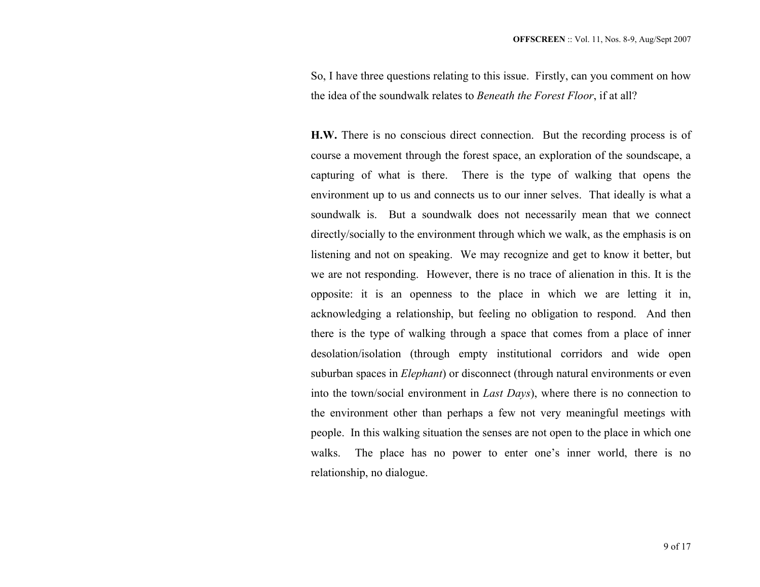So, I have three questions relating to this issue. Firstly, can you comment on how the idea of the soundwalk relates to *Beneath the Forest Floor*, if at all?

**H.W.** There is no conscious direct connection. But the recording process is of course a movement through the forest space, an exploration of the soundscape, a capturing of what is there. There is the type of walking that opens the environment up to us and connects us to our inner selves. That ideally is what a soundwalk is. But a soundwalk does not necessarily mean that we connect directly/socially to the environment through which we walk, as the emphasis is on listening and not on speaking. We may recognize and get to know it better, but we are not responding. However, there is no trace of alienation in this. It is the opposite: it is an openness to the place in which we are letting it in, acknowledging a relationship, but feeling no obligation to respond. And then there is the type of walking through a space that comes from a place of inner desolation/isolation (through empty institutional corridors and wide open suburban spaces in *Elephant*) or disconnect (through natural environments or even into the town/social environment in *Last Days*), where there is no connection to the environment other than perhaps a few not very meaningful meetings with people. In this walking situation the senses are not open to the place in which one walks. The place has no power to enter one's inner world, there is no relationship, no dialogue.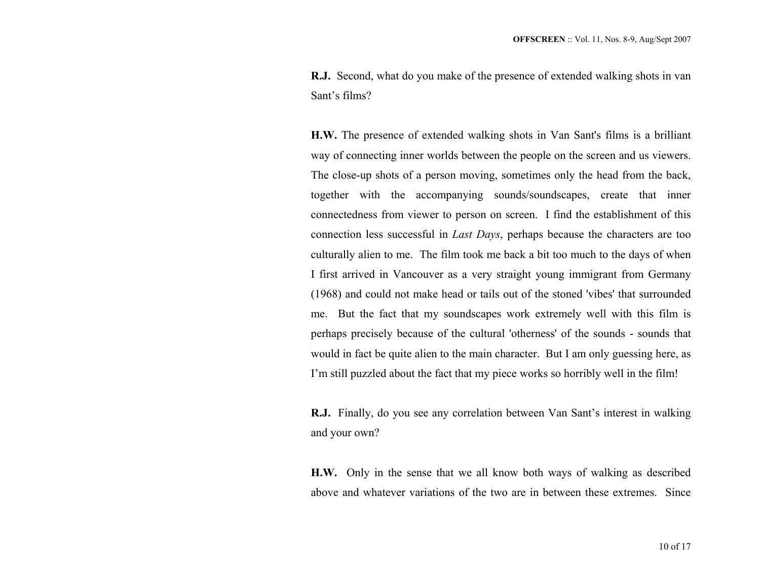**R.J.** Second, what do you make of the presence of extended walking shots in van Sant's films?

**H.W.** The presence of extended walking shots in Van Sant's films is a brilliant way of connecting inner worlds between the people on the screen and us viewers. The close-up shots of a person moving, sometimes only the head from the back, together with the accompanying sounds/soundscapes, create that inner connectedness from viewer to person on screen. I find the establishment of this connection less successful in *Last Days*, perhaps because the characters are too culturally alien to me. The film took me back a bit too much to the days of when I first arrived in Vancouver as a very straight young immigrant from Germany (1968) and could not make head or tails out of the stoned 'vibes' that surrounded me. But the fact that my soundscapes work extremely well with this film is perhaps precisely because of the cultural 'otherness' of the sounds - sounds that would in fact be quite alien to the main character. But I am only guessing here, as I'm still puzzled about the fact that my piece works so horribly well in the film!

**R.J.** Finally, do you see any correlation between Van Sant's interest in walking and your own?

**H.W.** Only in the sense that we all know both ways of walking as described above and whatever variations of the two are in between these extremes. Since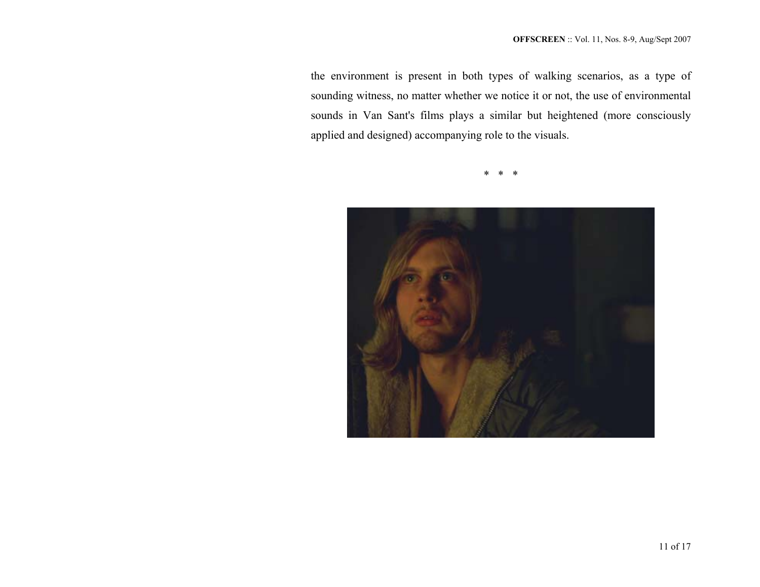the environment is present in both types of walking scenarios, as a type of sounding witness, no matter whether we notice it or not, the use of environmental sounds in Van Sant's films plays a similar but heightened (more consciously applied and designed) accompanying role to the visuals.

\* \* \*

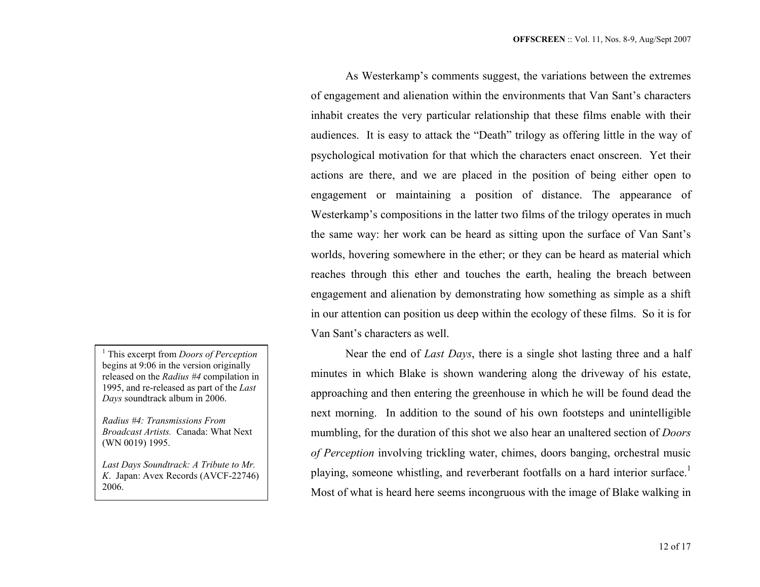As Westerkamp's comments suggest, the variations between the extremes of engagement and alienation within the environments that Van Sant's characters inhabit creates the very particular relationship that these films enable with their audiences. It is easy to attack the "Death" trilogy as offering little in the way of psychological motivation for that which the characters enact onscreen. Yet their actions are there, and we are placed in the position of being either open to engagement or maintaining a position of distance. The appearance of Westerkamp's compositions in the latter two films of the trilogy operates in much the same way: her work can be heard as sitting upon the surface of Van Sant's worlds, hovering somewhere in the ether; or they can be heard as material which reaches through this ether and touches the earth, healing the breach between engagement and alienation by demonstrating how something as simple as a shift in our attention can position us deep within the ecology of these films. So it is for Van Sant's characters as well.

Near the end of *Last Days*, there is a single shot lasting three and a half minutes in which Blake is shown wandering along the driveway of his estate, approaching and then entering the greenhouse in which he will be found dead the next morning. In addition to the sound of his own footsteps and unintelligible mumbling, for the duration of this shot we also hear an unaltered section of *Doors of Perception* involving trickling water, chimes, doors banging, orchestral music playing, someone whistling, and reverberant footfalls on a hard interior surface.<sup>1</sup> Most of what is heard here seems incongruous with the image of Blake walking in

1 This excerpt from *Doors of Perception* begins at 9:06 in the version originally released on the *Radius #4* compilation in 1995, and re-released as part of the *Last Days* soundtrack album in 2006.

*Radius #4: Transmissions From Broadcast Artists.* Canada: What Next (WN 0019) 1995.

*Last Days Soundtrack: A Tribute to Mr. K*. Japan: Avex Records (AVCF-22746) 2006.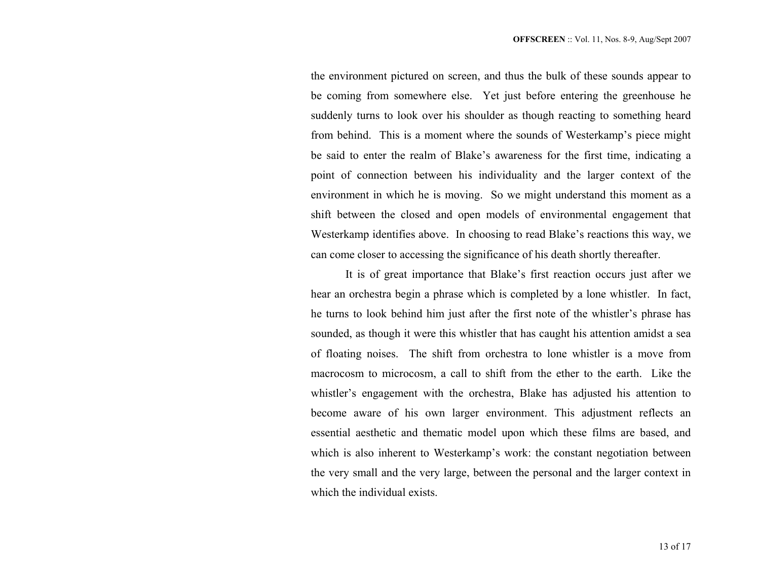the environment pictured on screen, and thus the bulk of these sounds appear to be coming from somewhere else. Yet just before entering the greenhouse he suddenly turns to look over his shoulder as though reacting to something heard from behind. This is a moment where the sounds of Westerkamp's piece might be said to enter the realm of Blake's awareness for the first time, indicating a point of connection between his individuality and the larger context of the environment in which he is moving. So we might understand this moment as a shift between the closed and open models of environmental engagement that Westerkamp identifies above. In choosing to read Blake's reactions this way, we can come closer to accessing the significance of his death shortly thereafter.

It is of great importance that Blake's first reaction occurs just after we hear an orchestra begin a phrase which is completed by a lone whistler. In fact, he turns to look behind him just after the first note of the whistler's phrase has sounded, as though it were this whistler that has caught his attention amidst a sea of floating noises. The shift from orchestra to lone whistler is a move from macrocosm to microcosm, a call to shift from the ether to the earth. Like the whistler's engagement with the orchestra, Blake has adjusted his attention to become aware of his own larger environment. This adjustment reflects an essential aesthetic and thematic model upon which these films are based, and which is also inherent to Westerkamp's work: the constant negotiation between the very small and the very large, between the personal and the larger context in which the individual exists.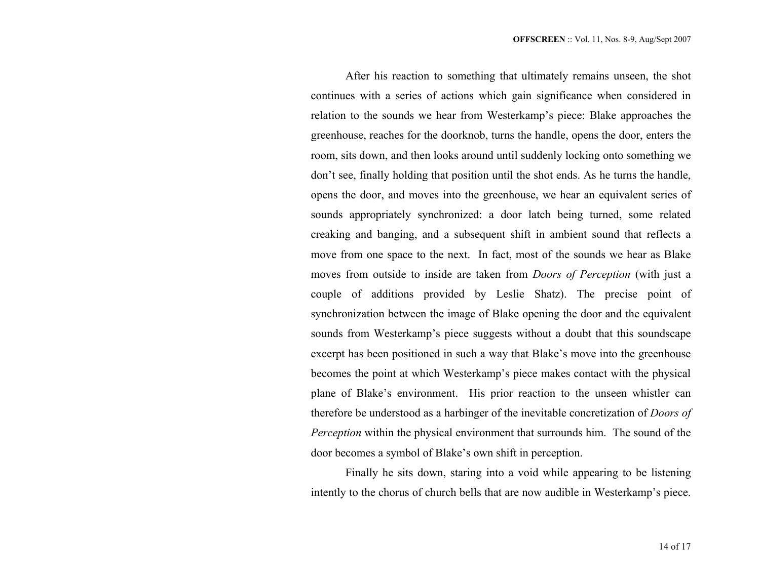After his reaction to something that ultimately remains unseen, the shot continues with a series of actions which gain significance when considered in relation to the sounds we hear from Westerkamp's piece: Blake approaches the greenhouse, reaches for the doorknob, turns the handle, opens the door, enters the room, sits down, and then looks around until suddenly locking onto something we don't see, finally holding that position until the shot ends. As he turns the handle, opens the door, and moves into the greenhouse, we hear an equivalent series of sounds appropriately synchronized: a door latch being turned, some related creaking and banging, and a subsequent shift in ambient sound that reflects a move from one space to the next. In fact, most of the sounds we hear as Blake moves from outside to inside are taken from *Doors of Perception* (with just a couple of additions provided by Leslie Shatz). The precise point of synchronization between the image of Blake opening the door and the equivalent sounds from Westerkamp's piece suggests without a doubt that this soundscape excerpt has been positioned in such a way that Blake's move into the greenhouse becomes the point at which Westerkamp's piece makes contact with the physical plane of Blake's environment. His prior reaction to the unseen whistler can therefore be understood as a harbinger of the inevitable concretization of *Doors of Perception* within the physical environment that surrounds him. The sound of the door becomes a symbol of Blake's own shift in perception.

Finally he sits down, staring into a void while appearing to be listening intently to the chorus of church bells that are now audible in Westerkamp's piece.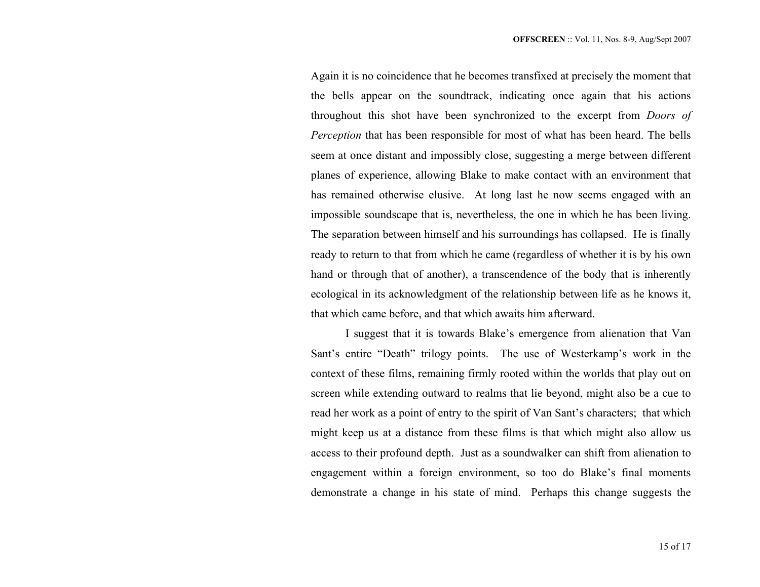Again it is no coincidence that he becomes transfixed at precisely the moment that the bells appear on the soundtrack, indicating once again that his actions throughout this shot have been synchronized to the excerpt from *Doors of Perception* that has been responsible for most of what has been heard. The bells seem at once distant and impossibly close, suggesting a merge between different planes of experience, allowing Blake to make contact with an environment that has remained otherwise elusive. At long last he now seems engaged with an impossible soundscape that is, nevertheless, the one in which he has been living. The separation between himself and his surroundings has collapsed. He is finally ready to return to that from which he came (regardless of whether it is by his own hand or through that of another), a transcendence of the body that is inherently ecological in its acknowledgment of the relationship between life as he knows it, that which came before, and that which awaits him afterward.

I suggest that it is towards Blake's emergence from alienation that Van Sant's entire "Death" trilogy points. The use of Westerkamp's work in the context of these films, remaining firmly rooted within the worlds that play out on screen while extending outward to realms that lie beyond, might also be a cue to read her work as a point of entry to the spirit of Van Sant's characters; that which might keep us at a distance from these films is that which might also allow us access to their profound depth. Just as a soundwalker can shift from alienation to engagement within a foreign environment, so too do Blake's final moments demonstrate a change in his state of mind. Perhaps this change suggests the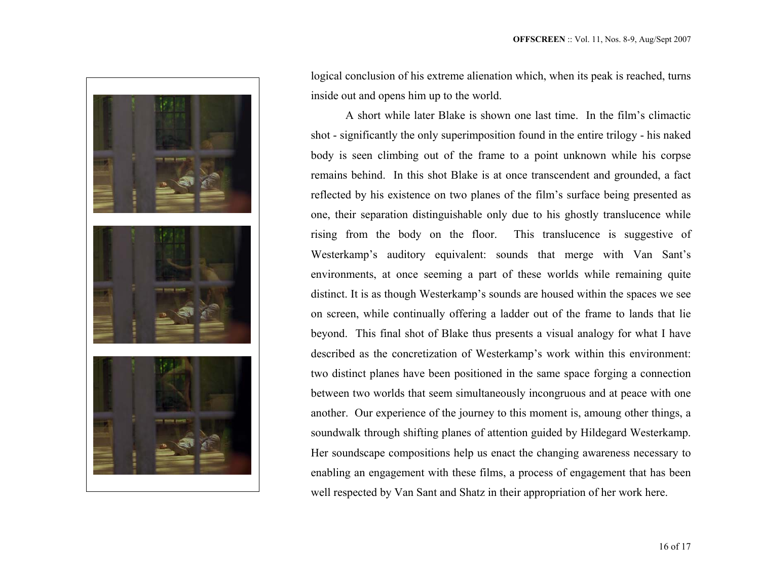

logical conclusion of his extreme alienation which, when its peak is reached, turns inside out and opens him up to the world.

A short while later Blake is shown one last time. In the film's climactic shot - significantly the only superimposition found in the entire trilogy - his naked body is seen climbing out of the frame to a point unknown while his corpse remains behind. In this shot Blake is at once transcendent and grounded, a fact reflected by his existence on two planes of the film's surface being presented as one, their separation distinguishable only due to his ghostly translucence while rising from the body on the floor. This translucence is suggestive of Westerkamp's auditory equivalent: sounds that merge with Van Sant's environments, at once seeming a part of these worlds while remaining quite distinct. It is as though Westerkamp's sounds are housed within the spaces we see on screen, while continually offering a ladder out of the frame to lands that lie beyond. This final shot of Blake thus presents a visual analogy for what I have described as the concretization of Westerkamp's work within this environment: two distinct planes have been positioned in the same space forging a connection between two worlds that seem simultaneously incongruous and at peace with one another. Our experience of the journey to this moment is, amoung other things, a soundwalk through shifting planes of attention guided by Hildegard Westerkamp. Her soundscape compositions help us enact the changing awareness necessary to enabling an engagement with these films, a process of engagement that has been well respected by Van Sant and Shatz in their appropriation of her work here.